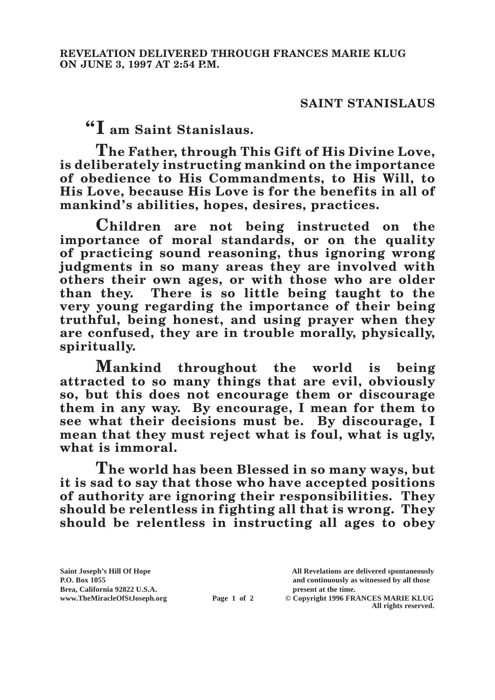## **SAINT STANISLAUS**

**"I am Saint Stanislaus.**

**The Father, through This Gift of His Divine Love, is deliberately instructing mankind on the importance of obedience to His Commandments, to His Will, to His Love, because His Love is for the benefits in all of mankind's abilities, hopes, desires, practices.**

**Children are not being instructed on the importance of moral standards, or on the quality of practicing sound reasoning, thus ignoring wrong judgments in so many areas they are involved with others their own ages, or with those who are older than they. There is so little being taught to the very young regarding the importance of their being truthful, being honest, and using prayer when they are confused, they are in trouble morally, physically, spiritually.**

**Mankind throughout the world is being attracted to so many things that are evil, obviously so, but this does not encourage them or discourage them in any way. By encourage, I mean for them to see what their decisions must be. By discourage, I mean that they must reject what is foul, what is ugly, what is immoral.**

**The world has been Blessed in so many ways, but it is sad to say that those who have accepted positions of authority are ignoring their responsibilities. They should be relentless in fighting all that is wrong. They should be relentless in instructing all ages to obey** 

**Saint Joseph's Hill Of Hope All Revelations are delivered spontaneously P.O. Box 1055 and continuously as witnessed by all those** 

**Page 1 of 2** © Copyright 1996 FRANCES MARIE KLUG **All rights reserved.**